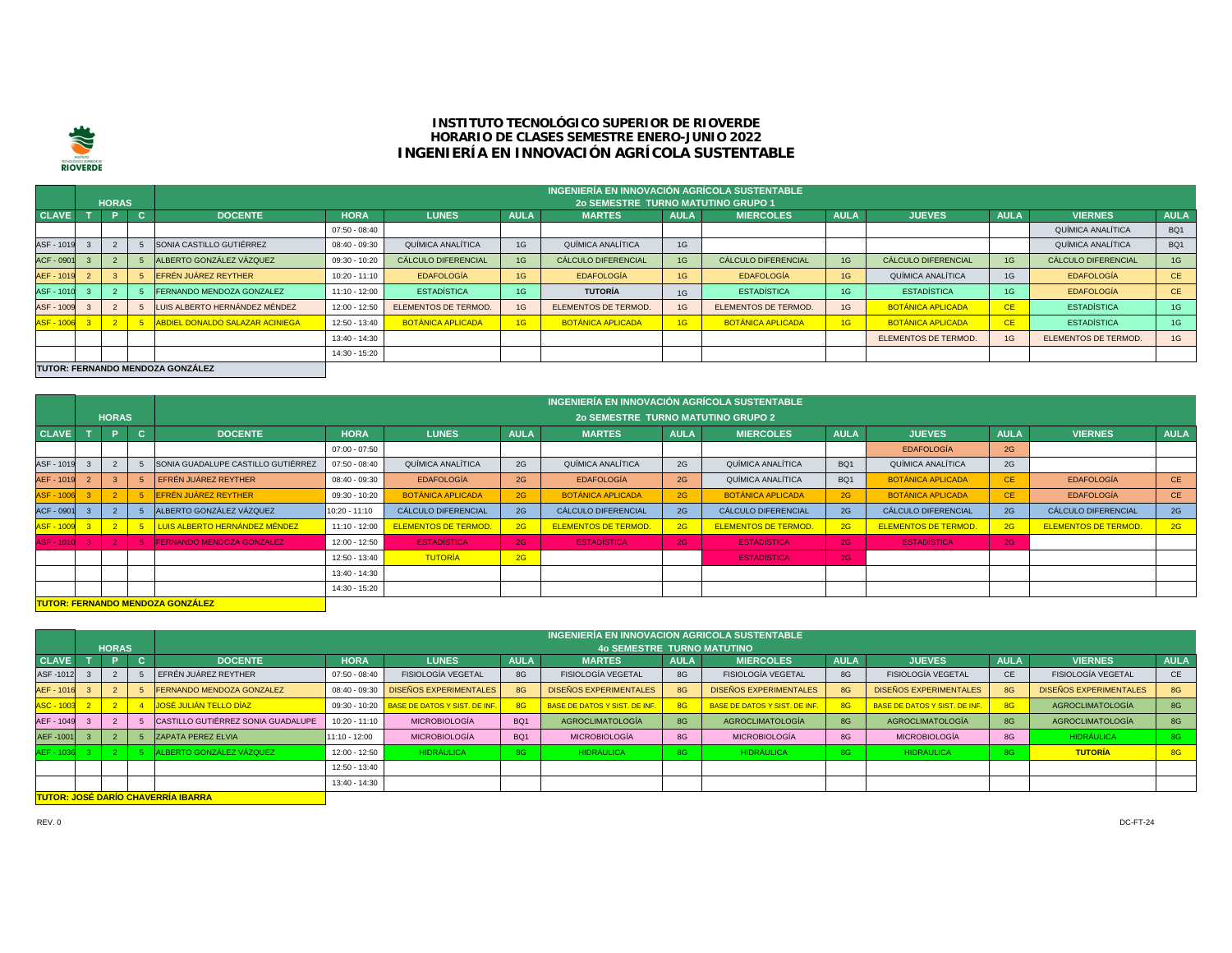

## **INSTITUTO TECNOLÓGICO SUPERIOR DE RIOVERDE HORARIO DE CLASES SEMESTRE ENERO-JUNIO 2022 INGENIERÍA EN INNOVACIÓN AGRÍCOLA SUSTENTABLE**

|                   |                                  |              |    |                                 |                 |                            |             | INGENIERÍA EN INNOVACIÓN AGRÍCOLA SUSTENTABLE |             |                            |             |                            |             |                            |             |
|-------------------|----------------------------------|--------------|----|---------------------------------|-----------------|----------------------------|-------------|-----------------------------------------------|-------------|----------------------------|-------------|----------------------------|-------------|----------------------------|-------------|
|                   |                                  | <b>HORAS</b> |    |                                 |                 |                            |             | <b>20 SEMESTRE TURNO MATUTINO GRUPO 1</b>     |             |                            |             |                            |             |                            |             |
| <b>CLAVE</b>      |                                  |              | C. | <b>DOCENTE</b>                  | <b>HORA</b>     | <b>LUNES</b>               | <b>AULA</b> | <b>MARTES</b>                                 | <b>AULA</b> | <b>MIERCOLES</b>           | <b>AULA</b> | <b>JUEVES</b>              | <b>AULA</b> | <b>VIERNES</b>             | <b>AULA</b> |
|                   |                                  |              |    |                                 | $07:50 - 08:40$ |                            |             |                                               |             |                            |             |                            |             | QUÍMICA ANALÍTICA          | BQ1         |
| ASF - 1019        |                                  |              |    | SONIA CASTILLO GUTIÉRREZ        | 08:40 - 09:30   | QUÍMICA ANALÍTICA          | 1G          | QUÍMICA ANALÍTICA                             | 1G          |                            |             |                            |             | QUÍMICA ANALÍTICA          | BQ1         |
| <b>ACF - 0901</b> |                                  |              |    | ALBERTO GONZÁLEZ VÁZQUEZ        | 09:30 - 10:20   | <b>CÁLCULO DIFERENCIAL</b> | 1G          | <b>CÁLCULO DIFERENCIAL</b>                    | 1G          | <b>CÁLCULO DIFERENCIAL</b> | 1G          | <b>CÁLCULO DIFERENCIAL</b> | 1G          | <b>CÁLCULO DIFERENCIAL</b> | 1G          |
| AEF - 1019        |                                  |              |    | EFRÉN JUÁREZ REYTHER            | $10:20 - 11:10$ | EDAFOLOGÍA                 | 1G          | <b>EDAFOLOGÍA</b>                             | 1G          | EDAFOLOGÍA                 | 1G          | QUÍMICA ANALÍTICA          | 1G          | <b>EDAFOLOGÍA</b>          | <b>CE</b>   |
| ASF - 1010        |                                  |              |    | FERNANDO MENDOZA GONZALEZ       | 11:10 - 12:00   | <b>ESTADÍSTICA</b>         | 1G          | TUTORÍA                                       | 1G          | <b>ESTADÍSTICA</b>         | 1G          | <b>ESTADÍSTICA</b>         | 1G.         | <b>EDAFOLOGÍA</b>          | CE.         |
| ASF - 1009        |                                  |              |    | LUIS ALBERTO HERNÁNDEZ MÉNDEZ   | 12:00 - 12:50   | ELEMENTOS DE TERMOD.       | 1G          | ELEMENTOS DE TERMOD.                          | 1G          | <b>ELEMENTOS DE TERMOD</b> | 1G          | <b>BOTÁNICA APLICADA</b>   | CE.         | <b>ESTADÍSTICA</b>         | 1G          |
| ASF-1006 3        |                                  |              |    | ABDIEL DONALDO SALAZAR ACINIEGA | 12:50 - 13:40   | <b>BOTÁNICA APLICADA</b>   | 1G          | <b>BOTÁNICA APLICADA</b>                      | 1G          | <b>BOTÁNICA APLICADA</b>   | 1G          | <b>BOTÁNICA APLICADA</b>   | <b>CE</b>   | <b>ESTADÍSTICA</b>         | 1G          |
|                   |                                  |              |    |                                 | 13:40 - 14:30   |                            |             |                                               |             |                            |             | ELEMENTOS DE TERMOD.       | 1G          | ELEMENTOS DE TERMOD.       | 1G          |
|                   |                                  |              |    |                                 | 14:30 - 15:20   |                            |             |                                               |             |                            |             |                            |             |                            |             |
|                   | TUTOR: FERNANDO MENDOZA GONZÁLEZ |              |    |                                 |                 |                            |             |                                               |             |                            |             |                            |             |                            |             |

|                   |                                         |                |            |                                    | INGENIERÍA EN INNOVACIÓN AGRÍCOLA SUSTENTABLE |                             |             |                                           |             |                            |                 |                             |             |                             |             |
|-------------------|-----------------------------------------|----------------|------------|------------------------------------|-----------------------------------------------|-----------------------------|-------------|-------------------------------------------|-------------|----------------------------|-----------------|-----------------------------|-------------|-----------------------------|-------------|
|                   |                                         | <b>HORAS</b>   |            |                                    |                                               |                             |             | <b>20 SEMESTRE TURNO MATUTINO GRUPO 2</b> |             |                            |                 |                             |             |                             |             |
| <b>CLAVE</b>      |                                         | ъ.             | <b>NGN</b> | <b>DOCENTE</b>                     | <b>HORA</b>                                   | <b>LUNES</b>                | <b>AULA</b> | <b>MARTES</b>                             | <b>AULA</b> | <b>MIERCOLES</b>           | <b>AULA</b>     | <b>JUEVES</b>               | <b>AULA</b> | <b>VIERNES</b>              | <b>AULA</b> |
|                   |                                         |                |            |                                    | $07:00 - 07:50$                               |                             |             |                                           |             |                            |                 | <b>EDAFOLOGÍA</b>           | 2G          |                             |             |
| ASF - 1019        |                                         |                |            | SONIA GUADALUPE CASTILLO GUTIÉRREZ | $07:50 - 08:40$                               | QUÍMICA ANALÍTICA           | 2G          | QUÍMICA ANALÍTICA                         | 2G          | QUÍMICA ANALÍTICA          | BQ1             | QUÍMICA ANALÍTICA           | 2G          |                             |             |
| AEF - 1019        |                                         |                |            | EFRÉN JUÁREZ REYTHER               | 08:40 - 09:30                                 | <b>EDAFOLOGÍA</b>           | 2G          | <b>EDAFOLOGÍA</b>                         | 2G          | QUÍMICA ANALÍTICA          | BQ <sub>1</sub> | <b>BOTÁNICA APLICADA</b>    | <b>CE</b>   | <b>EDAFOLOGÍA</b>           | <b>CE</b>   |
| <b>ASF - 1006</b> |                                         |                |            | EFRÉN JUÁREZ REYTHER               | 09:30 - 10:20                                 | <b>BOTÁNICA APLICADA</b>    | 2G          | <b>BOTÁNICA APLICADA</b>                  | 2G          | <b>BOTÁNICA APLICADA</b>   | 2G              | <b>BOTÁNICA APLICADA</b>    | <b>CE</b>   | <b>EDAFOLOGÍA</b>           | <b>CE</b>   |
| ACF - 0901        |                                         |                |            | ALBERTO GONZÁLEZ VÁZQUEZ           | 10:20 - 11:10                                 | <b>CÁLCULO DIFERENCIAL</b>  | 2G          | <b>CÁLCULO DIFERENCIAL</b>                | 2G          | <b>CÁLCULO DIFERENCIAL</b> | 2G              | <b>CÁLCULO DIFERENCIAL</b>  | 2G          | <b>CÁLCULO DIFERENCIAL</b>  | 2G          |
| ASF - 1009 3      |                                         | 2 <sup>1</sup> |            | LUIS ALBERTO HERNÁNDEZ MÉNDEZ      | $11:10 - 12:00$                               | <b>ELEMENTOS DE TERMOD.</b> | 2G          | <b>ELEMENTOS DE TERMOD.</b>               | 2G          | <b>ELEMENTOS DE TERMOD</b> | 2G              | <b>ELEMENTOS DE TERMOD.</b> | 2G          | <b>ELEMENTOS DE TERMOD.</b> | 2G          |
| ASF - 1010 3      |                                         | 2 <sup>7</sup> |            | <b>FERNANDO MENDOZA GONZALEZ</b>   | 12:00 - 12:50                                 | <b>ESTADÍSTICA</b>          | 2G          | <b>ESTADÍSTICA</b>                        | 2G          | <b>ESTADÍSTICA</b>         | 2G              | <b>ESTADÍSTICA</b>          | 2G          |                             |             |
|                   |                                         |                |            |                                    | 12:50 - 13:40                                 | <b>TUTORÍA</b>              | 2G          |                                           |             | <b>ESTADISTICA</b>         | 2G              |                             |             |                             |             |
|                   |                                         |                |            |                                    | 13:40 - 14:30                                 |                             |             |                                           |             |                            |                 |                             |             |                             |             |
|                   |                                         |                |            |                                    | 14:30 - 15:20                                 |                             |             |                                           |             |                            |                 |                             |             |                             |             |
|                   | <b>TUTOR: FERNANDO MENDOZA GONZÁLEZ</b> |                |            |                                    |                                               |                             |             |                                           |             |                            |                 |                             |             |                             |             |

|                   |                                           |              |  |                                    |                 |                                      |                 | INGENIERÍA EN INNOVACION AGRICOLA SUSTENTABLE |             |                                      |             |                                      |             |                               |             |
|-------------------|-------------------------------------------|--------------|--|------------------------------------|-----------------|--------------------------------------|-----------------|-----------------------------------------------|-------------|--------------------------------------|-------------|--------------------------------------|-------------|-------------------------------|-------------|
|                   |                                           | <b>HORAS</b> |  |                                    |                 |                                      |                 | <b>40 SEMESTRE TURNO MATUTINO</b>             |             |                                      |             |                                      |             |                               |             |
| <b>CLAVE</b>      |                                           |              |  | <b>DOCENTE</b>                     | <b>HORA</b>     | <b>LUNES</b>                         | <b>AULA</b>     | <b>MARTES</b>                                 | <b>AULA</b> | <b>MIERCOLES</b>                     | <b>AULA</b> | <b>JUEVES</b>                        | <b>AULA</b> | <b>VIERNES</b>                | <b>AULA</b> |
| ASF-1012          |                                           |              |  | EFRÉN JUÁREZ REYTHER               | 07:50 - 08:40   | <b>FISIOLOGÍA VEGETAL</b>            | 8G              | FISIOLOGÍA VEGETAL                            | 8G          | FISIOLOGÍA VEGETAL                   | 8G          | <b>FISIOLOGÍA VEGETAL</b>            | <b>CE</b>   | <b>FISIOLOGÍA VEGETAL</b>     | CE          |
| AEF - 1016        |                                           |              |  | <b>FERNANDO MENDOZA GONZALEZ</b>   | 08:40 - 09:30   | <b>DISEÑOS EXPERIMENTALES</b>        | 8G              | <b>DISEÑOS EXPERIMENTALES</b>                 | 8G          | <b>DISEÑOS EXPERIMENTALES</b>        | 8G          | <b>DISEÑOS EXPERIMENTALES</b>        | 8G          | <b>DISEÑOS EXPERIMENTALES</b> | 8G          |
| <b>ASC - 1003</b> |                                           |              |  | <b>JOSÉ JULIÁN TELLO DÍAZ</b>      | 09:30 - 10:20   | <b>BASE DE DATOS Y SIST. DE INF.</b> | 8G              | <b>BASE DE DATOS Y SIST. DE INF.</b>          | 80          | <b>BASE DE DATOS Y SIST, DE INF.</b> | 8G          | <b>BASE DE DATOS Y SIST, DE INF.</b> |             | <b>AGROCLIMATOLOGÍA</b>       | 8G          |
| AEF - 1049        |                                           |              |  | CASTILLO GUTIÉRREZ SONIA GUADALUPE | 10:20 - 11:10   | <b>MICROBIOLOGÍA</b>                 | BQ <sub>1</sub> | AGROCLIMATOLOGÍA                              | 8G          | AGROCLIMATOLOGÍA                     | 8G          | AGROCLIMATOLOGÍA                     | 8G          | <b>AGROCLIMATOLOGÍA</b>       | 8G          |
| AEF-1001          |                                           |              |  | <b>ZAPATA PEREZ ELVIA</b>          | $11:10 - 12:00$ | <b>MICROBIOLOGÍA</b>                 | BQ <sub>1</sub> | <b>MICROBIOLOGÍA</b>                          | 8G          | <b>MICROBIOLOGÍA</b>                 | 8G          | <b>MICROBIOLOGÍA</b>                 | 8G          | <b>HIDRÁULICA</b>             | 8G          |
| AEF - 1036        |                                           |              |  | \LBERTO GONZÁLEZ VÁZQUEZ           | 12:00 - 12:50   | <b>HIDRÁULICA</b>                    | 8G              | <b>HIDRÁULICA</b>                             | 8G          | <b>HIDRÁULICA</b>                    | 8G          | <b>HIDRÁULICA</b>                    | 8G          | <b>TUTORÍA</b>                | <b>8G</b>   |
|                   |                                           |              |  |                                    | 12:50 - 13:40   |                                      |                 |                                               |             |                                      |             |                                      |             |                               |             |
|                   |                                           |              |  |                                    | 13:40 - 14:30   |                                      |                 |                                               |             |                                      |             |                                      |             |                               |             |
|                   | <b>TUTOR: JOSÉ DARÍO CHAVERRÍA IBARRA</b> |              |  |                                    |                 |                                      |                 |                                               |             |                                      |             |                                      |             |                               |             |